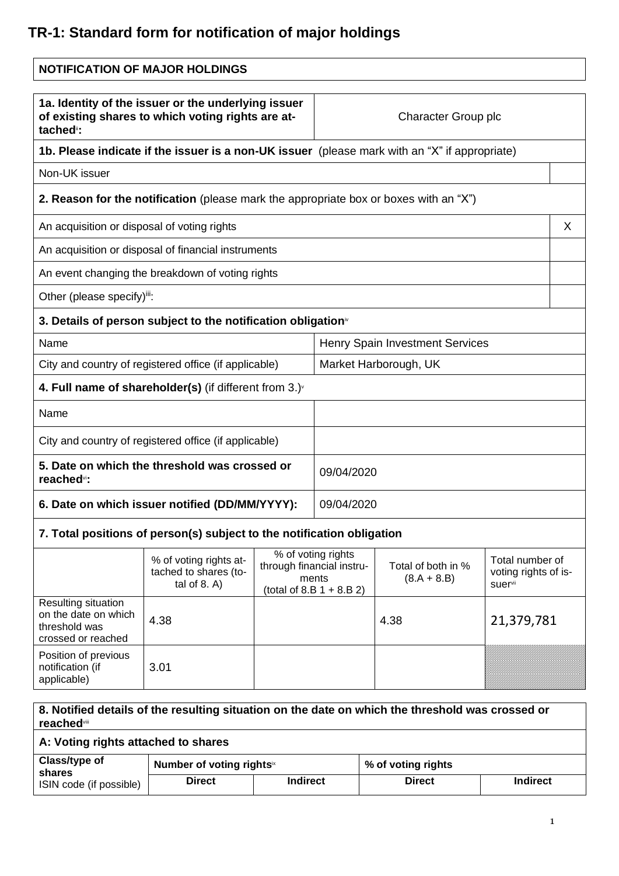## **TR-1: Standard form for notification of major holdings**

| <b>NOTIFICATION OF MAJOR HOLDINGS</b>                                                                                             |                                                                                               |                                                                                                                                           |                                 |                                         |            |
|-----------------------------------------------------------------------------------------------------------------------------------|-----------------------------------------------------------------------------------------------|-------------------------------------------------------------------------------------------------------------------------------------------|---------------------------------|-----------------------------------------|------------|
| 1a. Identity of the issuer or the underlying issuer<br>of existing shares to which voting rights are at-<br>tached <sup>"</sup> : |                                                                                               |                                                                                                                                           | Character Group plc             |                                         |            |
|                                                                                                                                   | 1b. Please indicate if the issuer is a non-UK issuer (please mark with an "X" if appropriate) |                                                                                                                                           |                                 |                                         |            |
| Non-UK issuer                                                                                                                     |                                                                                               |                                                                                                                                           |                                 |                                         |            |
|                                                                                                                                   | 2. Reason for the notification (please mark the appropriate box or boxes with an "X")         |                                                                                                                                           |                                 |                                         |            |
| An acquisition or disposal of voting rights                                                                                       |                                                                                               |                                                                                                                                           |                                 |                                         | X          |
|                                                                                                                                   | An acquisition or disposal of financial instruments                                           |                                                                                                                                           |                                 |                                         |            |
|                                                                                                                                   | An event changing the breakdown of voting rights                                              |                                                                                                                                           |                                 |                                         |            |
| Other (please specify) <sup>iii</sup> :                                                                                           |                                                                                               |                                                                                                                                           |                                 |                                         |            |
|                                                                                                                                   | 3. Details of person subject to the notification obligation <sup>®</sup>                      |                                                                                                                                           |                                 |                                         |            |
| Name                                                                                                                              |                                                                                               |                                                                                                                                           | Henry Spain Investment Services |                                         |            |
| City and country of registered office (if applicable)                                                                             |                                                                                               |                                                                                                                                           | Market Harborough, UK           |                                         |            |
| 4. Full name of shareholder(s) (if different from $3.$ ) $\sqrt{ }$                                                               |                                                                                               |                                                                                                                                           |                                 |                                         |            |
| Name                                                                                                                              |                                                                                               |                                                                                                                                           |                                 |                                         |            |
| City and country of registered office (if applicable)                                                                             |                                                                                               |                                                                                                                                           |                                 |                                         |            |
| 5. Date on which the threshold was crossed or<br>reached <sup>vi</sup> :                                                          |                                                                                               |                                                                                                                                           | 09/04/2020                      |                                         |            |
| 6. Date on which issuer notified (DD/MM/YYYY):                                                                                    |                                                                                               |                                                                                                                                           | 09/04/2020                      |                                         |            |
| 7. Total positions of person(s) subject to the notification obligation                                                            |                                                                                               |                                                                                                                                           |                                 |                                         |            |
|                                                                                                                                   | % of voting rights at-<br>tached to shares (to-<br>tal of $8. A$ )                            | % of voting rights<br>through financial instru-<br>Total of both in %<br>ments<br>$(8.A + 8.B)$<br>suervii<br>(total of 8.B $1 + 8.B 2$ ) |                                 | Total number of<br>voting rights of is- |            |
| Resulting situation<br>on the date on which<br>threshold was<br>crossed or reached                                                | 4.38                                                                                          |                                                                                                                                           |                                 | 4.38                                    | 21,379,781 |
| Position of previous<br>notification (if<br>applicable)                                                                           | 3.01                                                                                          |                                                                                                                                           |                                 |                                         |            |

## **8. Notified details of the resulting situation on the date on which the threshold was crossed or reached**viii

## **A: Voting rights attached to shares**

| Class/type of<br>shares | Number of voting rights <sup>ix</sup> |                 | % of voting rights |                 |
|-------------------------|---------------------------------------|-----------------|--------------------|-----------------|
| ISIN code (if possible) | Direct                                | <b>Indirect</b> | Direct             | <b>Indirect</b> |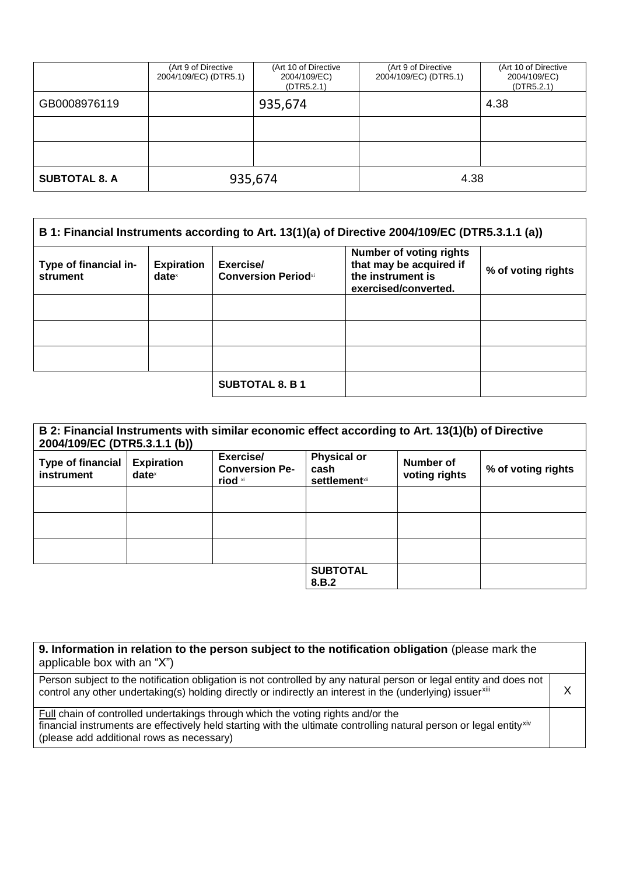|                      | (Art 9 of Directive<br>2004/109/EC) (DTR5.1) | (Art 10 of Directive<br>2004/109/EC)<br>(DTR5.2.1) | (Art 9 of Directive<br>2004/109/EC) (DTR5.1) | (Art 10 of Directive<br>2004/109/EC)<br>(DTR5.2.1) |
|----------------------|----------------------------------------------|----------------------------------------------------|----------------------------------------------|----------------------------------------------------|
| GB0008976119         |                                              | 935,674                                            |                                              | 4.38                                               |
|                      |                                              |                                                    |                                              |                                                    |
|                      |                                              |                                                    |                                              |                                                    |
| <b>SUBTOTAL 8. A</b> | 935,674                                      |                                                    | 4.38                                         |                                                    |

| B 1: Financial Instruments according to Art. 13(1)(a) of Directive 2004/109/EC (DTR5.3.1.1 (a)) |                                      |                                         |                                                                                                        |                    |
|-------------------------------------------------------------------------------------------------|--------------------------------------|-----------------------------------------|--------------------------------------------------------------------------------------------------------|--------------------|
| Type of financial in-<br>strument                                                               | <b>Expiration</b><br>$date^{\times}$ | Exercise/<br><b>Conversion Periodxi</b> | <b>Number of voting rights</b><br>that may be acquired if<br>the instrument is<br>exercised/converted. | % of voting rights |
|                                                                                                 |                                      |                                         |                                                                                                        |                    |
|                                                                                                 |                                      |                                         |                                                                                                        |                    |
|                                                                                                 |                                      |                                         |                                                                                                        |                    |
|                                                                                                 |                                      | <b>SUBTOTAL 8. B 1</b>                  |                                                                                                        |                    |

| B 2: Financial Instruments with similar economic effect according to Art. 13(1)(b) of Directive<br>2004/109/EC (DTR5.3.1.1 (b)) |                                      |                                               |                                                     |                            |                    |
|---------------------------------------------------------------------------------------------------------------------------------|--------------------------------------|-----------------------------------------------|-----------------------------------------------------|----------------------------|--------------------|
| <b>Type of financial</b><br>instrument                                                                                          | <b>Expiration</b><br>$date^{\times}$ | Exercise/<br><b>Conversion Pe-</b><br>riod xi | <b>Physical or</b><br>cash<br><b>settlement</b> xii | Number of<br>voting rights | % of voting rights |
|                                                                                                                                 |                                      |                                               |                                                     |                            |                    |
|                                                                                                                                 |                                      |                                               |                                                     |                            |                    |
|                                                                                                                                 |                                      |                                               |                                                     |                            |                    |
|                                                                                                                                 |                                      |                                               | <b>SUBTOTAL</b><br>8.B.2                            |                            |                    |

| 9. Information in relation to the person subject to the notification obligation (please mark the<br>applicable box with an "X")                                                                                                                      |  |
|------------------------------------------------------------------------------------------------------------------------------------------------------------------------------------------------------------------------------------------------------|--|
| Person subject to the notification obligation is not controlled by any natural person or legal entity and does not<br>control any other undertaking(s) holding directly or indirectly an interest in the (underlying) issuerxiii                     |  |
| Full chain of controlled undertakings through which the voting rights and/or the<br>financial instruments are effectively held starting with the ultimate controlling natural person or legal entityxiv<br>(please add additional rows as necessary) |  |